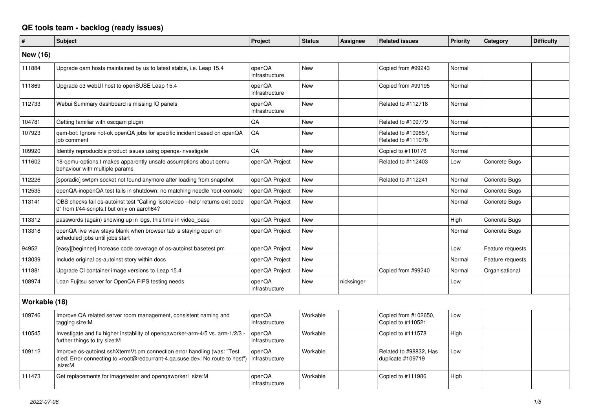## **QE tools team - backlog (ready issues)**

| #               | <b>Subject</b>                                                                                                                                                                                    | Project                  | <b>Status</b> | Assignee   | <b>Related issues</b>                       | <b>Priority</b> | Category         | <b>Difficulty</b> |
|-----------------|---------------------------------------------------------------------------------------------------------------------------------------------------------------------------------------------------|--------------------------|---------------|------------|---------------------------------------------|-----------------|------------------|-------------------|
| <b>New (16)</b> |                                                                                                                                                                                                   |                          |               |            |                                             |                 |                  |                   |
| 111884          | Upgrade gam hosts maintained by us to latest stable, i.e. Leap 15.4                                                                                                                               | openQA<br>Infrastructure | <b>New</b>    |            | Copied from #99243                          | Normal          |                  |                   |
| 111869          | Upgrade o3 webUI host to openSUSE Leap 15.4                                                                                                                                                       | openQA<br>Infrastructure | <b>New</b>    |            | Copied from #99195                          | Normal          |                  |                   |
| 112733          | Webui Summary dashboard is missing IO panels                                                                                                                                                      | openQA<br>Infrastructure | <b>New</b>    |            | Related to #112718                          | Normal          |                  |                   |
| 104781          | Getting familiar with oscgam plugin                                                                                                                                                               | QA                       | <b>New</b>    |            | Related to #109779                          | Normal          |                  |                   |
| 107923          | qem-bot: Ignore not-ok openQA jobs for specific incident based on openQA<br>iob comment                                                                                                           | QA                       | <b>New</b>    |            | Related to #109857.<br>Related to #111078   | Normal          |                  |                   |
| 109920          | Identify reproducible product issues using openga-investigate                                                                                                                                     | QA                       | <b>New</b>    |            | Copied to #110176                           | Normal          |                  |                   |
| 111602          | 18-gemu-options.t makes apparently unsafe assumptions about gemu<br>behaviour with multiple params                                                                                                | openQA Project           | <b>New</b>    |            | Related to #112403                          | Low             | Concrete Bugs    |                   |
| 112226          | [sporadic] swtpm socket not found anymore after loading from snapshot                                                                                                                             | openQA Project           | <b>New</b>    |            | Related to #112241                          | Normal          | Concrete Bugs    |                   |
| 112535          | openQA-inopenQA test fails in shutdown: no matching needle 'root-console'                                                                                                                         | openQA Project           | <b>New</b>    |            |                                             | Normal          | Concrete Bugs    |                   |
| 113141          | OBS checks fail os-autoinst test "Calling 'isotovideo --help' returns exit code<br>0" from t/44-scripts.t but only on aarch64?                                                                    | openQA Project           | <b>New</b>    |            |                                             | Normal          | Concrete Bugs    |                   |
| 113312          | passwords (again) showing up in logs, this time in video base                                                                                                                                     | openQA Project           | <b>New</b>    |            |                                             | High            | Concrete Bugs    |                   |
| 113318          | openQA live view stays blank when browser tab is staying open on<br>scheduled jobs until jobs start                                                                                               | openQA Project           | <b>New</b>    |            |                                             | Normal          | Concrete Bugs    |                   |
| 94952           | [easy][beginner] Increase code coverage of os-autoinst basetest.pm                                                                                                                                | openQA Project           | <b>New</b>    |            |                                             | Low             | Feature requests |                   |
| 113039          | Include original os-autoinst story within docs                                                                                                                                                    | openQA Project           | <b>New</b>    |            |                                             | Normal          | Feature requests |                   |
| 111881          | Upgrade CI container image versions to Leap 15.4                                                                                                                                                  | openQA Project           | <b>New</b>    |            | Copied from #99240                          | Normal          | Organisational   |                   |
| 108974          | Loan Fujitsu server for OpenQA FIPS testing needs                                                                                                                                                 | openQA<br>Infrastructure | <b>New</b>    | nicksinger |                                             | Low             |                  |                   |
| Workable (18)   |                                                                                                                                                                                                   |                          |               |            |                                             |                 |                  |                   |
| 109746          | Improve QA related server room management, consistent naming and<br>tagging size:M                                                                                                                | openQA<br>Infrastructure | Workable      |            | Copied from #102650,<br>Copied to #110521   | Low             |                  |                   |
| 110545          | Investigate and fix higher instability of opengaworker-arm-4/5 vs. arm-1/2/3<br>further things to try size:M                                                                                      | openQA<br>Infrastructure | Workable      |            | Copied to #111578                           | High            |                  |                   |
| 109112          | Improve os-autoinst sshXtermVt.pm connection error handling (was: "Test<br>died: Error connecting to <root@redcurrant-4.ga.suse.de>: No route to host")<br/>size:M</root@redcurrant-4.ga.suse.de> | openQA<br>Infrastructure | Workable      |            | Related to #98832, Has<br>duplicate #109719 | Low             |                  |                   |
| 111473          | Get replacements for imagetester and opengaworker1 size:M                                                                                                                                         | openQA<br>Infrastructure | Workable      |            | Copied to #111986                           | High            |                  |                   |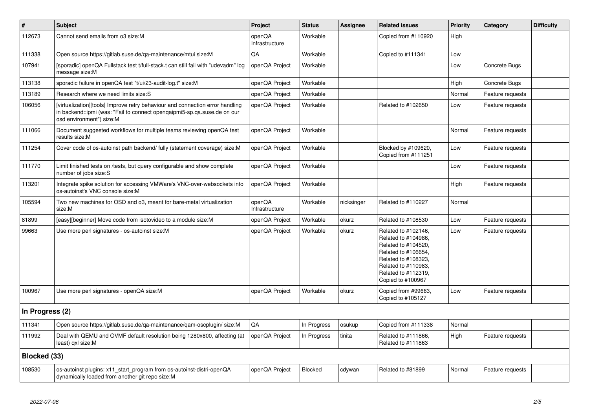| #               | <b>Subject</b>                                                                                                                                                                        | Project                  | <b>Status</b> | <b>Assignee</b> | <b>Related issues</b>                                                                                                                                                              | <b>Priority</b> | Category         | <b>Difficulty</b> |
|-----------------|---------------------------------------------------------------------------------------------------------------------------------------------------------------------------------------|--------------------------|---------------|-----------------|------------------------------------------------------------------------------------------------------------------------------------------------------------------------------------|-----------------|------------------|-------------------|
| 112673          | Cannot send emails from o3 size:M                                                                                                                                                     | openQA<br>Infrastructure | Workable      |                 | Copied from #110920                                                                                                                                                                | High            |                  |                   |
| 111338          | Open source https://gitlab.suse.de/qa-maintenance/mtui size:M                                                                                                                         | QA                       | Workable      |                 | Copied to #111341                                                                                                                                                                  | Low             |                  |                   |
| 107941          | [sporadic] openQA Fullstack test t/full-stack.t can still fail with "udevadm" log<br>message size:M                                                                                   | openQA Project           | Workable      |                 |                                                                                                                                                                                    | Low             | Concrete Bugs    |                   |
| 113138          | sporadic failure in openQA test "t/ui/23-audit-log.t" size:M                                                                                                                          | openQA Project           | Workable      |                 |                                                                                                                                                                                    | High            | Concrete Bugs    |                   |
| 113189          | Research where we need limits size:S                                                                                                                                                  | openQA Project           | Workable      |                 |                                                                                                                                                                                    | Normal          | Feature requests |                   |
| 106056          | [virtualization][tools] Improve retry behaviour and connection error handling<br>in backend::ipmi (was: "Fail to connect openqaipmi5-sp.qa.suse.de on our<br>osd environment") size:M | openQA Project           | Workable      |                 | Related to #102650                                                                                                                                                                 | Low             | Feature requests |                   |
| 111066          | Document suggested workflows for multiple teams reviewing openQA test<br>results size:M                                                                                               | openQA Project           | Workable      |                 |                                                                                                                                                                                    | Normal          | Feature requests |                   |
| 111254          | Cover code of os-autoinst path backend/ fully (statement coverage) size:M                                                                                                             | openQA Project           | Workable      |                 | Blocked by #109620,<br>Copied from #111251                                                                                                                                         | Low             | Feature requests |                   |
| 111770          | Limit finished tests on /tests, but query configurable and show complete<br>number of jobs size:S                                                                                     | openQA Project           | Workable      |                 |                                                                                                                                                                                    | Low             | Feature requests |                   |
| 113201          | Integrate spike solution for accessing VMWare's VNC-over-websockets into<br>os-autoinst's VNC console size:M                                                                          | openQA Project           | Workable      |                 |                                                                                                                                                                                    | High            | Feature requests |                   |
| 105594          | Two new machines for OSD and o3, meant for bare-metal virtualization<br>size:M                                                                                                        | openQA<br>Infrastructure | Workable      | nicksinger      | Related to #110227                                                                                                                                                                 | Normal          |                  |                   |
| 81899           | [easy][beginner] Move code from isotovideo to a module size:M                                                                                                                         | openQA Project           | Workable      | okurz           | Related to #108530                                                                                                                                                                 | Low             | Feature requests |                   |
| 99663           | Use more perl signatures - os-autoinst size:M                                                                                                                                         | openQA Project           | Workable      | okurz           | Related to #102146,<br>Related to #104986,<br>Related to #104520,<br>Related to #106654,<br>Related to #108323,<br>Related to #110983,<br>Related to #112319,<br>Copied to #100967 | Low             | Feature requests |                   |
| 100967          | Use more perl signatures - openQA size:M                                                                                                                                              | openQA Project           | Workable      | okurz           | Copied from #99663.<br>Copied to #105127                                                                                                                                           | Low             | Feature requests |                   |
| In Progress (2) |                                                                                                                                                                                       |                          |               |                 |                                                                                                                                                                                    |                 |                  |                   |
| 111341          | Open source https://gitlab.suse.de/ga-maintenance/gam-oscplugin/size:M                                                                                                                | QA                       | In Progress   | osukup          | Copied from #111338                                                                                                                                                                | Normal          |                  |                   |
| 111992          | Deal with QEMU and OVMF default resolution being 1280x800, affecting (at<br>least) qxl size:M                                                                                         | openQA Project           | In Progress   | tinita          | Related to #111866,<br>Related to #111863                                                                                                                                          | High            | Feature requests |                   |
| Blocked (33)    |                                                                                                                                                                                       |                          |               |                 |                                                                                                                                                                                    |                 |                  |                   |
| 108530          | os-autoinst plugins: x11_start_program from os-autoinst-distri-openQA<br>dynamically loaded from another git repo size:M                                                              | openQA Project           | Blocked       | cdywan          | Related to #81899                                                                                                                                                                  | Normal          | Feature requests |                   |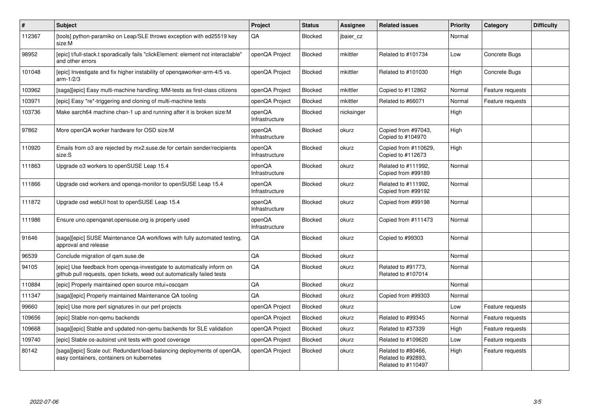| #      | <b>Subject</b>                                                                                                                                    | Project                  | <b>Status</b>  | Assignee   | <b>Related issues</b>                                          | <b>Priority</b> | Category         | <b>Difficulty</b> |
|--------|---------------------------------------------------------------------------------------------------------------------------------------------------|--------------------------|----------------|------------|----------------------------------------------------------------|-----------------|------------------|-------------------|
| 112367 | [tools] python-paramiko on Leap/SLE throws exception with ed25519 key<br>size:M                                                                   | QA                       | <b>Blocked</b> | jbaier cz  |                                                                | Normal          |                  |                   |
| 98952  | [epic] t/full-stack.t sporadically fails "clickElement: element not interactable"<br>and other errors                                             | openQA Project           | Blocked        | mkittler   | Related to #101734                                             | Low             | Concrete Bugs    |                   |
| 101048 | [epic] Investigate and fix higher instability of opengaworker-arm-4/5 vs.<br>$arm-1/2/3$                                                          | openQA Project           | Blocked        | mkittler   | Related to #101030                                             | High            | Concrete Bugs    |                   |
| 103962 | [saga][epic] Easy multi-machine handling: MM-tests as first-class citizens                                                                        | openQA Project           | Blocked        | mkittler   | Copied to #112862                                              | Normal          | Feature requests |                   |
| 103971 | [epic] Easy *re*-triggering and cloning of multi-machine tests                                                                                    | openQA Project           | Blocked        | mkittler   | Related to #66071                                              | Normal          | Feature requests |                   |
| 103736 | Make aarch64 machine chan-1 up and running after it is broken size: M                                                                             | openQA<br>Infrastructure | Blocked        | nicksinger |                                                                | High            |                  |                   |
| 97862  | More openQA worker hardware for OSD size:M                                                                                                        | openQA<br>Infrastructure | Blocked        | okurz      | Copied from #97043.<br>Copied to #104970                       | High            |                  |                   |
| 110920 | Emails from o3 are rejected by mx2.suse.de for certain sender/recipients<br>size:S                                                                | openQA<br>Infrastructure | Blocked        | okurz      | Copied from #110629,<br>Copied to #112673                      | High            |                  |                   |
| 111863 | Upgrade o3 workers to openSUSE Leap 15.4                                                                                                          | openQA<br>Infrastructure | <b>Blocked</b> | okurz      | Related to #111992,<br>Copied from #99189                      | Normal          |                  |                   |
| 111866 | Upgrade osd workers and openga-monitor to openSUSE Leap 15.4                                                                                      | openQA<br>Infrastructure | Blocked        | okurz      | Related to #111992,<br>Copied from #99192                      | Normal          |                  |                   |
| 111872 | Upgrade osd webUI host to openSUSE Leap 15.4                                                                                                      | openQA<br>Infrastructure | Blocked        | okurz      | Copied from #99198                                             | Normal          |                  |                   |
| 111986 | Ensure uno.openganet.opensuse.org is properly used                                                                                                | openQA<br>Infrastructure | Blocked        | okurz      | Copied from #111473                                            | Normal          |                  |                   |
| 91646  | [saga][epic] SUSE Maintenance QA workflows with fully automated testing,<br>approval and release                                                  | QA                       | Blocked        | okurz      | Copied to #99303                                               | Normal          |                  |                   |
| 96539  | Conclude migration of gam.suse.de                                                                                                                 | QA                       | Blocked        | okurz      |                                                                | Normal          |                  |                   |
| 94105  | [epic] Use feedback from openqa-investigate to automatically inform on<br>github pull requests, open tickets, weed out automatically failed tests | QA                       | <b>Blocked</b> | okurz      | Related to #91773.<br>Related to #107014                       | Normal          |                  |                   |
| 110884 | [epic] Properly maintained open source mtui+oscqam                                                                                                | QA                       | Blocked        | okurz      |                                                                | Normal          |                  |                   |
| 111347 | [saga][epic] Properly maintained Maintenance QA tooling                                                                                           | QA                       | Blocked        | okurz      | Copied from #99303                                             | Normal          |                  |                   |
| 99660  | [epic] Use more perl signatures in our perl projects                                                                                              | openQA Project           | Blocked        | okurz      |                                                                | Low             | Feature requests |                   |
| 109656 | [epic] Stable non-gemu backends                                                                                                                   | openQA Project           | Blocked        | okurz      | Related to #99345                                              | Normal          | Feature requests |                   |
| 109668 | [saga][epic] Stable and updated non-gemu backends for SLE validation                                                                              | openQA Project           | Blocked        | okurz      | Related to #37339                                              | High            | Feature requests |                   |
| 109740 | [epic] Stable os-autoinst unit tests with good coverage                                                                                           | openQA Project           | Blocked        | okurz      | Related to #109620                                             | Low             | Feature requests |                   |
| 80142  | [saga][epic] Scale out: Redundant/load-balancing deployments of openQA,<br>easy containers, containers on kubernetes                              | openQA Project           | Blocked        | okurz      | Related to #80466,<br>Related to #92893,<br>Related to #110497 | High            | Feature requests |                   |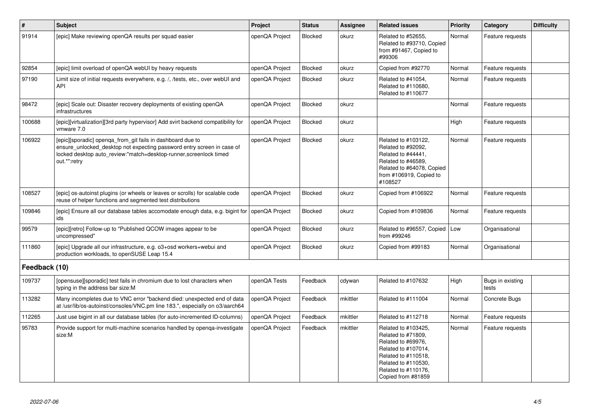| $\vert$ #     | Subject                                                                                                                                                                                                                   | Project        | <b>Status</b>  | Assignee | <b>Related issues</b>                                                                                                                                                             | <b>Priority</b> | Category                  | <b>Difficulty</b> |
|---------------|---------------------------------------------------------------------------------------------------------------------------------------------------------------------------------------------------------------------------|----------------|----------------|----------|-----------------------------------------------------------------------------------------------------------------------------------------------------------------------------------|-----------------|---------------------------|-------------------|
| 91914         | [epic] Make reviewing openQA results per squad easier                                                                                                                                                                     | openQA Project | Blocked        | okurz    | Related to #52655,<br>Related to #93710, Copied<br>from #91467, Copied to<br>#99306                                                                                               | Normal          | Feature requests          |                   |
| 92854         | [epic] limit overload of openQA webUI by heavy requests                                                                                                                                                                   | openQA Project | <b>Blocked</b> | okurz    | Copied from #92770                                                                                                                                                                | Normal          | Feature requests          |                   |
| 97190         | Limit size of initial requests everywhere, e.g. /, /tests, etc., over webUI and<br>API                                                                                                                                    | openQA Project | Blocked        | okurz    | Related to #41054,<br>Related to #110680,<br>Related to #110677                                                                                                                   | Normal          | Feature requests          |                   |
| 98472         | [epic] Scale out: Disaster recovery deployments of existing openQA<br>infrastructures                                                                                                                                     | openQA Project | Blocked        | okurz    |                                                                                                                                                                                   | Normal          | Feature requests          |                   |
| 100688        | [epic][virtualization][3rd party hypervisor] Add svirt backend compatibility for<br>vmware 7.0                                                                                                                            | openQA Project | Blocked        | okurz    |                                                                                                                                                                                   | High            | Feature requests          |                   |
| 106922        | [epic][sporadic] openqa_from_git fails in dashboard due to<br>ensure_unlocked_desktop not expecting password entry screen in case of<br>locked desktop auto_review:"match=desktop-runner,screenlock timed<br>out.*":retry | openQA Project | Blocked        | okurz    | Related to #103122,<br>Related to #92092,<br>Related to #44441,<br>Related to #46589,<br>Related to #64078, Copied<br>from #106919, Copied to<br>#108527                          | Normal          | Feature requests          |                   |
| 108527        | [epic] os-autoinst plugins (or wheels or leaves or scrolls) for scalable code<br>reuse of helper functions and segmented test distributions                                                                               | openQA Project | Blocked        | okurz    | Copied from #106922                                                                                                                                                               | Normal          | Feature requests          |                   |
| 109846        | [epic] Ensure all our database tables accomodate enough data, e.g. bigint for<br>ids                                                                                                                                      | openQA Project | Blocked        | okurz    | Copied from #109836                                                                                                                                                               | Normal          | Feature requests          |                   |
| 99579         | [epic][retro] Follow-up to "Published QCOW images appear to be<br>uncompressed"                                                                                                                                           | openQA Project | Blocked        | okurz    | Related to #96557, Copied<br>from #99246                                                                                                                                          | Low             | Organisational            |                   |
| 111860        | [epic] Upgrade all our infrastructure, e.g. o3+osd workers+webui and<br>production workloads, to openSUSE Leap 15.4                                                                                                       | openQA Project | Blocked        | okurz    | Copied from #99183                                                                                                                                                                | Normal          | Organisational            |                   |
| Feedback (10) |                                                                                                                                                                                                                           |                |                |          |                                                                                                                                                                                   |                 |                           |                   |
| 109737        | [opensuse][sporadic] test fails in chromium due to lost characters when<br>typing in the address bar size:M                                                                                                               | openQA Tests   | Feedback       | cdywan   | Related to #107632                                                                                                                                                                | High            | Bugs in existing<br>tests |                   |
| 113282        | Many incompletes due to VNC error "backend died: unexpected end of data<br>at /usr/lib/os-autoinst/consoles/VNC.pm line 183.", especially on o3/aarch64                                                                   | openQA Project | Feedback       | mkittler | Related to #111004                                                                                                                                                                | Normal          | Concrete Bugs             |                   |
| 112265        | Just use bigint in all our database tables (for auto-incremented ID-columns)                                                                                                                                              | openQA Project | Feedback       | mkittler | Related to #112718                                                                                                                                                                | Normal          | Feature requests          |                   |
| 95783         | Provide support for multi-machine scenarios handled by openga-investigate<br>size:M                                                                                                                                       | openQA Project | Feedback       | mkittler | Related to #103425,<br>Related to #71809,<br>Related to #69976,<br>Related to #107014,<br>Related to #110518,<br>Related to #110530,<br>Related to #110176,<br>Copied from #81859 | Normal          | Feature requests          |                   |